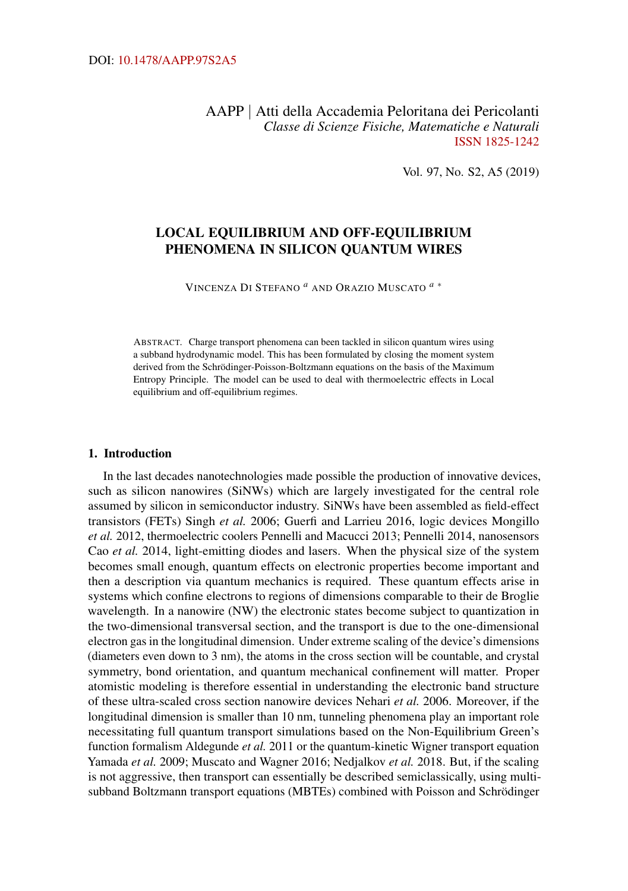AAPP | Atti della Accademia Peloritana dei Pericolanti *Classe di Scienze Fisiche, Matematiche e Naturali* [ISSN 1825-1242](http://dx.doi.org/10.1478/18251242)

Vol. 97, No. S2, A5 (2019)

# LOCAL EQUILIBRIUM AND OFF-EQUILIBRIUM PHENOMENA IN SILICON QUANTUM WIRES

VINCENZA D<sup>I</sup> STEFANO *[a](#page-11-0)* AND ORAZIO MUSCATO *[a](#page-11-0)* [∗](#page-11-0)

ABSTRACT. Charge transport phenomena can been tackled in silicon quantum wires using a subband hydrodynamic model. This has been formulated by closing the moment system derived from the Schrödinger-Poisson-Boltzmann equations on the basis of the Maximum Entropy Principle. The model can be used to deal with thermoelectric effects in Local equilibrium and off-equilibrium regimes.

#### 1. Introduction

In the last decades nanotechnologies made possible the production of innovative devices, such as silicon nanowires (SiNWs) which are largely investigated for the central role assumed by silicon in semiconductor industry. SiNWs have been assembled as field-effect transistors (FETs) Singh *et al.* [2006;](#page-13-0) Guerfi and Larrieu [2016,](#page-11-1) logic devices Mongillo *et al.* [2012,](#page-11-2) thermoelectric coolers Pennelli and Macucci [2013;](#page-13-1) Pennelli [2014,](#page-13-2) nanosensors Cao *et al.* [2014,](#page-11-3) light-emitting diodes and lasers. When the physical size of the system becomes small enough, quantum effects on electronic properties become important and then a description via quantum mechanics is required. These quantum effects arise in systems which confine electrons to regions of dimensions comparable to their de Broglie wavelength. In a nanowire (NW) the electronic states become subject to quantization in the two-dimensional transversal section, and the transport is due to the one-dimensional electron gas in the longitudinal dimension. Under extreme scaling of the device's dimensions (diameters even down to 3 nm), the atoms in the cross section will be countable, and crystal symmetry, bond orientation, and quantum mechanical confinement will matter. Proper atomistic modeling is therefore essential in understanding the electronic band structure of these ultra-scaled cross section nanowire devices Nehari *et al.* [2006.](#page-12-0) Moreover, if the longitudinal dimension is smaller than 10 nm, tunneling phenomena play an important role necessitating full quantum transport simulations based on the Non-Equilibrium Green's function formalism Aldegunde *et al.* [2011](#page-11-4) or the quantum-kinetic Wigner transport equation Yamada *et al.* [2009;](#page-13-3) Muscato and Wagner [2016;](#page-12-1) Nedjalkov *et al.* [2018.](#page-12-2) But, if the scaling is not aggressive, then transport can essentially be described semiclassically, using multisubband Boltzmann transport equations (MBTEs) combined with Poisson and Schrödinger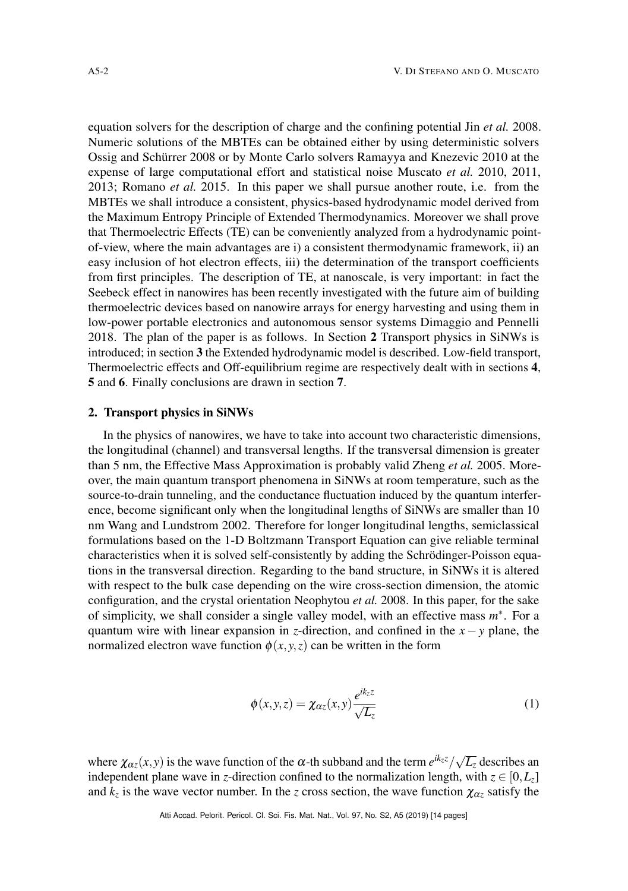equation solvers for the description of charge and the confining potential Jin *et al.* [2008.](#page-11-5) Numeric solutions of the MBTEs can be obtained either by using deterministic solvers Ossig and Schürrer [2008](#page-13-4) or by Monte Carlo solvers Ramayya and Knezevic [2010](#page-13-5) at the expense of large computational effort and statistical noise Muscato *et al.* [2010,](#page-12-3) [2011,](#page-12-4) [2013;](#page-12-5) Romano *et al.* [2015.](#page-13-6) In this paper we shall pursue another route, i.e. from the MBTEs we shall introduce a consistent, physics-based hydrodynamic model derived from the Maximum Entropy Principle of Extended Thermodynamics. Moreover we shall prove that Thermoelectric Effects (TE) can be conveniently analyzed from a hydrodynamic pointof-view, where the main advantages are i) a consistent thermodynamic framework, ii) an easy inclusion of hot electron effects, iii) the determination of the transport coefficients from first principles. The description of TE, at nanoscale, is very important: in fact the Seebeck effect in nanowires has been recently investigated with the future aim of building thermoelectric devices based on nanowire arrays for energy harvesting and using them in low-power portable electronics and autonomous sensor systems Dimaggio and Pennelli [2018.](#page-11-6) The plan of the paper is as follows. In Section [2](#page-1-0) Transport physics in SiNWs is introduced; in section [3](#page-3-0) the Extended hydrodynamic model is described. Low-field transport, Thermoelectric effects and Off-equilibrium regime are respectively dealt with in sections [4](#page-5-0), [5](#page-8-0) and [6](#page-9-0). Finally conclusions are drawn in section [7](#page-10-0).

### <span id="page-1-0"></span>2. Transport physics in SiNWs

In the physics of nanowires, we have to take into account two characteristic dimensions, the longitudinal (channel) and transversal lengths. If the transversal dimension is greater than 5 nm, the Effective Mass Approximation is probably valid Zheng *et al.* [2005.](#page-13-7) Moreover, the main quantum transport phenomena in SiNWs at room temperature, such as the source-to-drain tunneling, and the conductance fluctuation induced by the quantum interference, become significant only when the longitudinal lengths of SiNWs are smaller than 10 nm Wang and Lundstrom [2002.](#page-13-8) Therefore for longer longitudinal lengths, semiclassical formulations based on the 1-D Boltzmann Transport Equation can give reliable terminal characteristics when it is solved self-consistently by adding the Schrödinger-Poisson equations in the transversal direction. Regarding to the band structure, in SiNWs it is altered with respect to the bulk case depending on the wire cross-section dimension, the atomic configuration, and the crystal orientation Neophytou *et al.* [2008.](#page-13-9) In this paper, for the sake of simplicity, we shall consider a single valley model, with an effective mass *m* ∗ . For a quantum wire with linear expansion in *z*-direction, and confined in the  $x - y$  plane, the normalized electron wave function  $\phi(x, y, z)$  can be written in the form

$$
\phi(x, y, z) = \chi_{\alpha z}(x, y) \frac{e^{ik_z z}}{\sqrt{L_z}}
$$
\n(1)

where  $\chi_{\alpha z}(x, y)$  is the wave function of the  $\alpha$ -th subband and the term  $e^{ik_z z}/\sqrt{L_z}$  describes an independent plane wave in *z*-direction confined to the normalization length, with  $z \in [0, L_z]$ and  $k_z$  is the wave vector number. In the *z* cross section, the wave function  $\chi_{\alpha z}$  satisfy the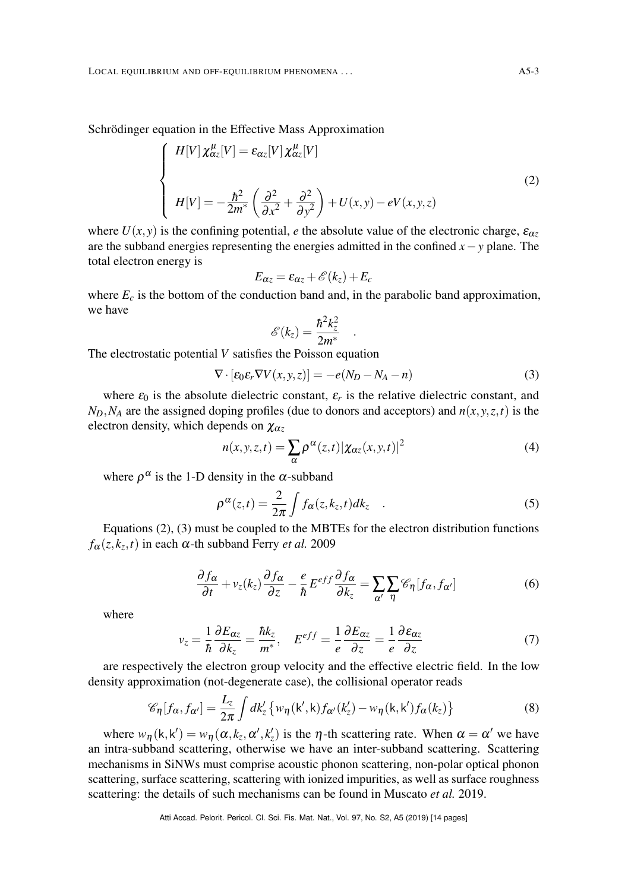Schrödinger equation in the Effective Mass Approximation

<span id="page-2-0"></span>
$$
\begin{cases}\nH[V]\,\chi_{\alpha z}^{\mu}[V] = \varepsilon_{\alpha z}[V]\,\chi_{\alpha z}^{\mu}[V] \\
H[V] = -\frac{\hbar^2}{2m^*}\left(\frac{\partial^2}{\partial x^2} + \frac{\partial^2}{\partial y^2}\right) + U(x,y) - eV(x,y,z)\n\end{cases} \tag{2}
$$

where  $U(x, y)$  is the confining potential, *e* the absolute value of the electronic charge,  $\varepsilon_{\alpha z}$ are the subband energies representing the energies admitted in the confined *x*−*y* plane. The total electron energy is

$$
E_{\alpha z} = \varepsilon_{\alpha z} + \mathscr{E}(k_z) + E_c
$$

where  $E_c$  is the bottom of the conduction band and, in the parabolic band approximation, we have

$$
\mathscr{E}(k_z) = \frac{\hbar^2 k_z^2}{2m^*}
$$

The electrostatic potential *V* satisfies the Poisson equation

$$
\nabla \cdot [\varepsilon_0 \varepsilon_r \nabla V(x, y, z)] = -e(N_D - N_A - n) \tag{3}
$$

<span id="page-2-1"></span>.

where  $\varepsilon_0$  is the absolute dielectric constant,  $\varepsilon_r$  is the relative dielectric constant, and  $N_D$ ,  $N_A$  are the assigned doping profiles (due to donors and acceptors) and  $n(x, y, z, t)$  is the electron density, which depends on  $\chi_{\alpha z}$ 

<span id="page-2-3"></span>
$$
n(x, y, z, t) = \sum_{\alpha} \rho^{\alpha}(z, t) |\chi_{\alpha z}(x, y, t)|^2
$$
 (4)

where  $\rho^{\alpha}$  is the 1-D density in the  $\alpha$ -subband

<span id="page-2-4"></span>
$$
\rho^{\alpha}(z,t) = \frac{2}{2\pi} \int f_{\alpha}(z,k_z,t)dk_z \quad . \tag{5}
$$

Equations [\(2\)](#page-2-0), [\(3\)](#page-2-1) must be coupled to the MBTEs for the electron distribution functions  $f_{\alpha}(z, k_z, t)$  in each  $\alpha$ -th subband Ferry *et al.* [2009](#page-11-7)

$$
\frac{\partial f_{\alpha}}{\partial t} + v_{z}(k_{z}) \frac{\partial f_{\alpha}}{\partial z} - \frac{e}{\hbar} E^{eff} \frac{\partial f_{\alpha}}{\partial k_{z}} = \sum_{\alpha'} \sum_{\eta} \mathcal{C}_{\eta} [f_{\alpha}, f_{\alpha'}] \tag{6}
$$

where

<span id="page-2-2"></span>
$$
v_z = \frac{1}{\hbar} \frac{\partial E_{\alpha z}}{\partial k_z} = \frac{\hbar k_z}{m^*}, \quad E^{eff} = \frac{1}{e} \frac{\partial E_{\alpha z}}{\partial z} = \frac{1}{e} \frac{\partial \varepsilon_{\alpha z}}{\partial z}
$$
(7)

are respectively the electron group velocity and the effective electric field. In the low density approximation (not-degenerate case), the collisional operator reads

$$
\mathscr{C}_{\eta}[f_{\alpha},f_{\alpha'}]=\frac{L_z}{2\pi}\int d\mathbf{k}'_z \left\{w_{\eta}(\mathbf{k}',\mathbf{k})f_{\alpha'}(\mathbf{k}'_z)-w_{\eta}(\mathbf{k},\mathbf{k}')f_{\alpha}(\mathbf{k}_z)\right\}
$$
(8)

where  $w_{\eta}$ (k, k') =  $w_{\eta}$ ( $\alpha$ ,  $k_z$ ,  $\alpha'$ ,  $k'_z$ ) is the  $\eta$ -th scattering rate. When  $\alpha = \alpha'$  we have an intra-subband scattering, otherwise we have an inter-subband scattering. Scattering mechanisms in SiNWs must comprise acoustic phonon scattering, non-polar optical phonon scattering, surface scattering, scattering with ionized impurities, as well as surface roughness scattering: the details of such mechanisms can be found in Muscato *et al.* [2019.](#page-12-6)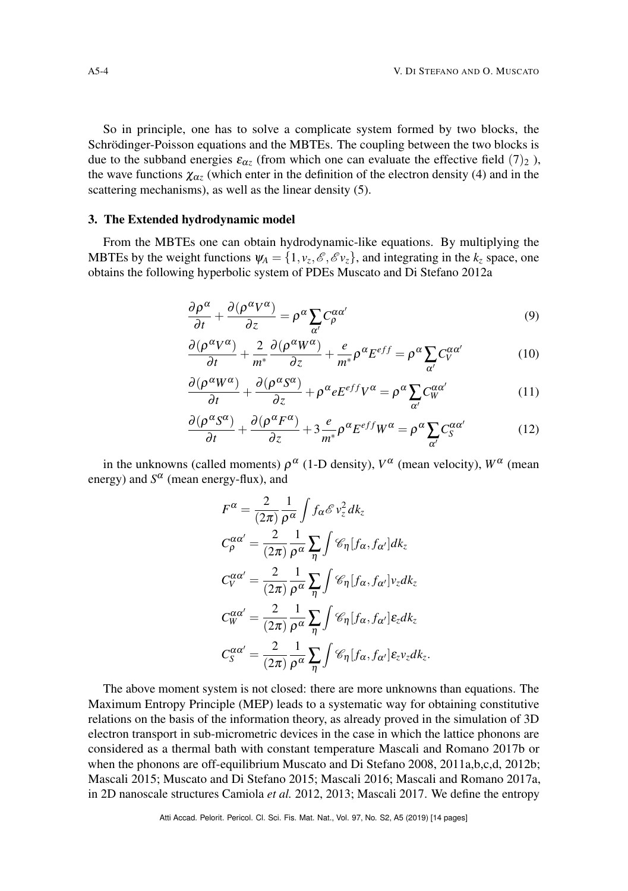So in principle, one has to solve a complicate system formed by two blocks, the Schrödinger-Poisson equations and the MBTEs. The coupling between the two blocks is due to the subband energies  $\varepsilon_{\alpha z}$  (from which one can evaluate the effective field  $(7)_2$  $(7)_2$  $(7)_2$ ), the wave functions  $\chi_{\alpha z}$  (which enter in the definition of the electron density [\(4\)](#page-2-3) and in the scattering mechanisms), as well as the linear density [\(5\)](#page-2-4).

# <span id="page-3-0"></span>3. The Extended hydrodynamic model

From the MBTEs one can obtain hydrodynamic-like equations. By multiplying the MBTEs by the weight functions  $\psi_A = \{1, v_z, \mathscr{E}, \mathscr{E} v_z\}$ , and integrating in the  $k_z$  space, one obtains the following hyperbolic system of PDEs Muscato and Di Stefano [2012a](#page-12-7)

<span id="page-3-1"></span>
$$
\frac{\partial \rho^{\alpha}}{\partial t} + \frac{\partial (\rho^{\alpha} V^{\alpha})}{\partial z} = \rho^{\alpha} \sum_{\alpha'} C_{\rho}^{\alpha \alpha'} \tag{9}
$$

$$
\frac{\partial(\rho^{\alpha}V^{\alpha})}{\partial t} + \frac{2}{m^*} \frac{\partial(\rho^{\alpha}W^{\alpha})}{\partial z} + \frac{e}{m^*} \rho^{\alpha} E^{eff} = \rho^{\alpha} \sum_{\alpha'} C_V^{\alpha \alpha'} \tag{10}
$$

$$
\frac{\partial(\rho^{\alpha}W^{\alpha})}{\partial t} + \frac{\partial(\rho^{\alpha}S^{\alpha})}{\partial z} + \rho^{\alpha}eE^{eff}V^{\alpha} = \rho^{\alpha}\sum_{\alpha'}C_{W}^{\alpha\alpha'}\tag{11}
$$

$$
\frac{\partial(\rho^{\alpha}S^{\alpha})}{\partial t} + \frac{\partial(\rho^{\alpha}F^{\alpha})}{\partial z} + 3\frac{e}{m^*}\rho^{\alpha}E^{eff}W^{\alpha} = \rho^{\alpha}\sum_{\alpha'}C_S^{\alpha\alpha'}\tag{12}
$$

in the unknowns (called moments)  $\rho^{\alpha}$  (1-D density),  $V^{\alpha}$  (mean velocity),  $W^{\alpha}$  (mean energy) and  $S^{\alpha}$  (mean energy-flux), and

$$
F^{\alpha} = \frac{2}{(2\pi)} \frac{1}{\rho^{\alpha}} \int f_{\alpha} \mathcal{E} v_z^2 d k_z
$$
  
\n
$$
C_{\rho}^{\alpha \alpha'} = \frac{2}{(2\pi)} \frac{1}{\rho^{\alpha}} \sum_{\eta} \int \mathcal{C}_{\eta} [f_{\alpha}, f_{\alpha'}] dk_z
$$
  
\n
$$
C_{V}^{\alpha \alpha'} = \frac{2}{(2\pi)} \frac{1}{\rho^{\alpha}} \sum_{\eta} \int \mathcal{C}_{\eta} [f_{\alpha}, f_{\alpha'}] v_z d k_z
$$
  
\n
$$
C_{W}^{\alpha \alpha'} = \frac{2}{(2\pi)} \frac{1}{\rho^{\alpha}} \sum_{\eta} \int \mathcal{C}_{\eta} [f_{\alpha}, f_{\alpha'}] \varepsilon_z d k_z
$$
  
\n
$$
C_{S}^{\alpha \alpha'} = \frac{2}{(2\pi)} \frac{1}{\rho^{\alpha}} \sum_{\eta} \int \mathcal{C}_{\eta} [f_{\alpha}, f_{\alpha'}] \varepsilon_z v_z d k_z.
$$

The above moment system is not closed: there are more unknowns than equations. The Maximum Entropy Principle (MEP) leads to a systematic way for obtaining constitutive relations on the basis of the information theory, as already proved in the simulation of 3D electron transport in sub-micrometric devices in the case in which the lattice phonons are considered as a thermal bath with constant temperature Mascali and Romano [2017b](#page-11-8) or when the phonons are off-equilibrium Muscato and Di Stefano [2008,](#page-12-8) [2011a](#page-12-9)[,b,](#page-12-10)[c,](#page-12-11)[d,](#page-12-12) [2012b;](#page-12-13) Mascali [2015;](#page-11-9) Muscato and Di Stefano [2015;](#page-12-14) Mascali [2016;](#page-11-10) Mascali and Romano [2017a,](#page-11-11) in 2D nanoscale structures Camiola *et al.* [2012,](#page-11-12) [2013;](#page-11-13) Mascali [2017.](#page-11-14) We define the entropy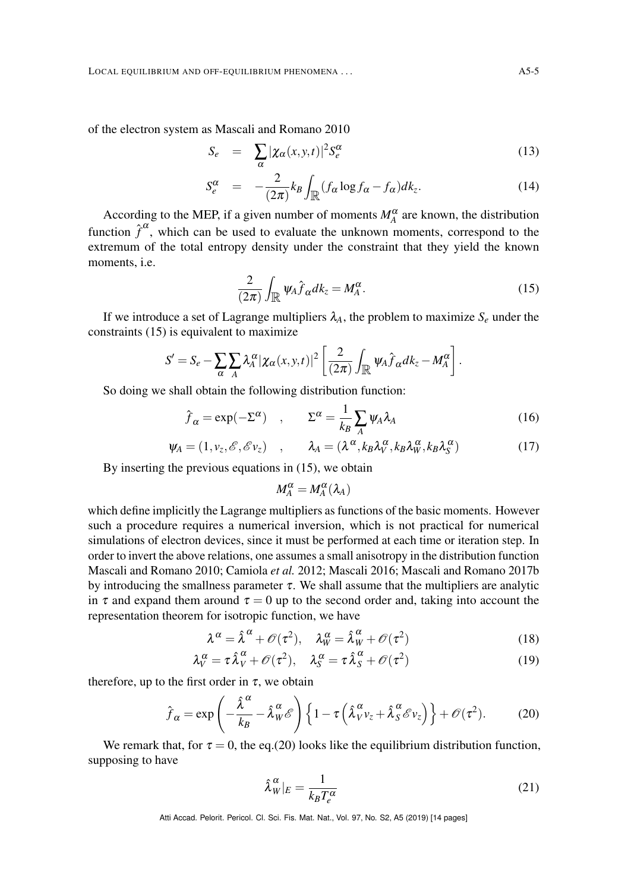of the electron system as Mascali and Romano [2010](#page-11-15)

$$
S_e = \sum_{\alpha} |\chi_{\alpha}(x, y, t)|^2 S_e^{\alpha} \tag{13}
$$

$$
S_e^{\alpha} = -\frac{2}{(2\pi)} k_B \int_{\mathbb{R}} (f_{\alpha} \log f_{\alpha} - f_{\alpha}) dk_z.
$$
 (14)

According to the MEP, if a given number of moments  $M_A^{\alpha}$  are known, the distribution function  $\hat{f}^{\alpha}$ , which can be used to evaluate the unknown moments, correspond to the extremum of the total entropy density under the constraint that they yield the known moments, i.e.

<span id="page-4-0"></span>
$$
\frac{2}{(2\pi)}\int_{\mathbb{R}}\psi_A\hat{f}_{\alpha}dk_z = M_A^{\alpha}.
$$
 (15)

If we introduce a set of Lagrange multipliers  $\lambda_A$ , the problem to maximize  $S_e$  under the constraints [\(15\)](#page-4-0) is equivalent to maximize

$$
S'=S_e-\sum_{\alpha}\sum_{A}\lambda^{\alpha}_A|\chi_{\alpha}(x,y,t)|^2\left[\frac{2}{(2\pi)}\int_{\mathbb{R}}\psi_A\hat{f}_{\alpha}dk_z-M^{\alpha}_A\right].
$$

So doing we shall obtain the following distribution function:

$$
\hat{f}_{\alpha} = \exp(-\Sigma^{\alpha}) \quad , \qquad \Sigma^{\alpha} = \frac{1}{k_B} \sum_{A} \psi_A \lambda_A \tag{16}
$$

$$
\psi_A = (1, v_z, \mathscr{E}, \mathscr{E} v_z) \quad , \qquad \lambda_A = (\lambda^\alpha, k_B \lambda_V^\alpha, k_B \lambda_W^\alpha, k_B \lambda_S^\alpha) \tag{17}
$$

By inserting the previous equations in [\(15\)](#page-4-0), we obtain

$$
M_A^{\alpha} = M_A^{\alpha}(\lambda_A)
$$

which define implicitly the Lagrange multipliers as functions of the basic moments. However such a procedure requires a numerical inversion, which is not practical for numerical simulations of electron devices, since it must be performed at each time or iteration step. In order to invert the above relations, one assumes a small anisotropy in the distribution function Mascali and Romano [2010;](#page-11-15) Camiola *et al.* [2012;](#page-11-12) Mascali [2016;](#page-11-10) Mascali and Romano [2017b](#page-11-8) by introducing the smallness parameter  $\tau$ . We shall assume that the multipliers are analytic in  $\tau$  and expand them around  $\tau = 0$  up to the second order and, taking into account the representation theorem for isotropic function, we have

$$
\lambda^{\alpha} = \hat{\lambda}^{\alpha} + \mathcal{O}(\tau^2), \quad \lambda^{\alpha}_W = \hat{\lambda}^{\alpha}_W + \mathcal{O}(\tau^2)
$$
 (18)

$$
\lambda_V^{\alpha} = \tau \hat{\lambda}_V^{\alpha} + \mathcal{O}(\tau^2), \quad \lambda_S^{\alpha} = \tau \hat{\lambda}_S^{\alpha} + \mathcal{O}(\tau^2)
$$
 (19)

therefore, up to the first order in  $\tau$ , we obtain

<span id="page-4-1"></span>
$$
\hat{f}_{\alpha} = \exp\left(-\frac{\hat{\lambda}^{\alpha}}{k_B} - \hat{\lambda}^{\alpha}_{W} \mathscr{E}\right) \left\{1 - \tau \left(\hat{\lambda}^{\alpha}_{V} v_{z} + \hat{\lambda}^{\alpha}_{S} \mathscr{E} v_{z}\right)\right\} + \mathscr{O}(\tau^2). \tag{20}
$$

We remark that, for  $\tau = 0$ , the eq.[\(20\)](#page-4-1) looks like the equilibrium distribution function, supposing to have

<span id="page-4-2"></span>
$$
\hat{\lambda}_W^{\alpha}|_E = \frac{1}{k_B T_e^{\alpha}}
$$
\n(21)

Atti Accad. Pelorit. Pericol. Cl. Sci. Fis. Mat. Nat., Vol. 97, No. S2, A5 (2019) [\[14](#page-13-10) pages]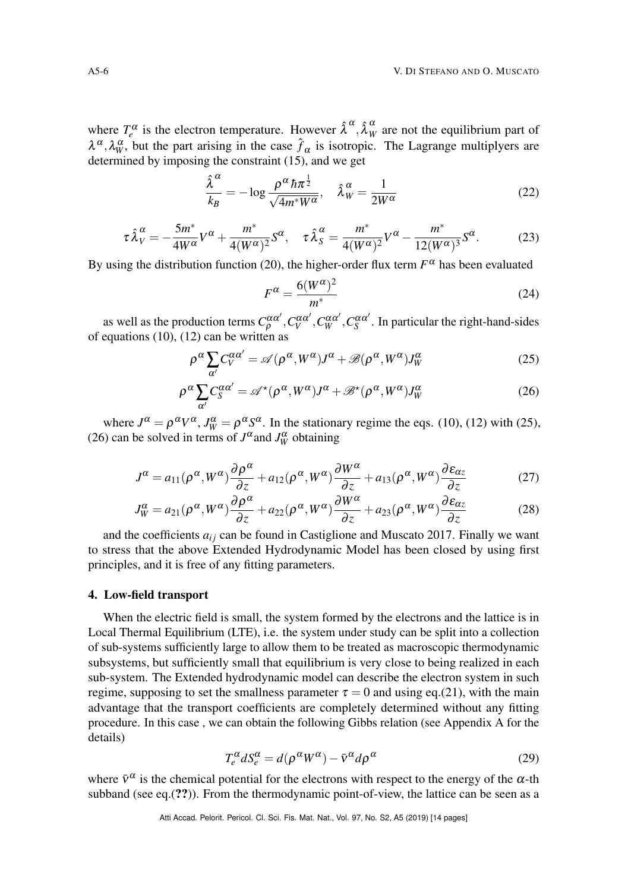where  $T_e^{\alpha}$  is the electron temperature. However  $\hat{\lambda}^{\alpha}, \hat{\lambda}_W^{\alpha}$  are not the equilibrium part of  $\lambda^{\alpha}, \lambda^{\alpha}_{W}$ , but the part arising in the case  $\hat{f}_{\alpha}$  is isotropic. The Lagrange multiplyers are determined by imposing the constraint [\(15\)](#page-4-0), and we get

<span id="page-5-4"></span>
$$
\frac{\hat{\lambda}^{\alpha}}{k_B} = -\log \frac{\rho^{\alpha} \hbar \pi^{\frac{1}{2}}}{\sqrt{4m^*W^{\alpha}}}, \quad \hat{\lambda}_W^{\alpha} = \frac{1}{2W^{\alpha}}
$$
(22)

<span id="page-5-5"></span>
$$
\tau \hat{\lambda}_V^{\alpha} = -\frac{5m^*}{4W^{\alpha}} V^{\alpha} + \frac{m^*}{4(W^{\alpha})^2} S^{\alpha}, \quad \tau \hat{\lambda}_S^{\alpha} = \frac{m^*}{4(W^{\alpha})^2} V^{\alpha} - \frac{m^*}{12(W^{\alpha})^3} S^{\alpha}.
$$
 (23)

By using the distribution function [\(20\)](#page-4-1), the higher-order flux term  $F^{\alpha}$  has been evaluated

<span id="page-5-6"></span>
$$
F^{\alpha} = \frac{6(W^{\alpha})^2}{m^*}
$$
 (24)

as well as the production terms  $C^{\alpha\alpha'}_p, C^{\alpha\alpha'}_w, C^{\alpha\alpha'}_w, C^{\alpha\alpha'}_s$ . In particular the right-hand-sides of equations  $(10)$ ,  $(12)$  can be written as

<span id="page-5-1"></span>
$$
\rho^{\alpha} \sum_{\alpha'} C_V^{\alpha \alpha'} = \mathscr{A}(\rho^{\alpha}, W^{\alpha}) J^{\alpha} + \mathscr{B}(\rho^{\alpha}, W^{\alpha}) J_W^{\alpha}
$$
\n(25)

$$
\rho^{\alpha} \sum_{\alpha'} C_S^{\alpha \alpha'} = \mathscr{A}^{\star}(\rho^{\alpha}, W^{\alpha}) J^{\alpha} + \mathscr{B}^{\star}(\rho^{\alpha}, W^{\alpha}) J_W^{\alpha}
$$
\n(26)

where  $J^{\alpha} = \rho^{\alpha} V^{\alpha}$ ,  $J^{\alpha}_W = \rho^{\alpha} S^{\alpha}$ . In the stationary regime the eqs. [\(10\)](#page-3-1), [\(12\)](#page-3-1) with [\(25\)](#page-5-1), [\(26\)](#page-5-1) can be solved in terms of  $J^{\alpha}$  and  $J^{\alpha}_W$  obtaining

<span id="page-5-2"></span>
$$
J^{\alpha} = a_{11}(\rho^{\alpha}, W^{\alpha})\frac{\partial \rho^{\alpha}}{\partial z} + a_{12}(\rho^{\alpha}, W^{\alpha})\frac{\partial W^{\alpha}}{\partial z} + a_{13}(\rho^{\alpha}, W^{\alpha})\frac{\partial \varepsilon_{\alpha z}}{\partial z}
$$
(27)

$$
J_W^{\alpha} = a_{21}(\rho^{\alpha}, W^{\alpha})\frac{\partial \rho^{\alpha}}{\partial z} + a_{22}(\rho^{\alpha}, W^{\alpha})\frac{\partial W^{\alpha}}{\partial z} + a_{23}(\rho^{\alpha}, W^{\alpha})\frac{\partial \varepsilon_{\alpha z}}{\partial z}
$$
(28)

and the coefficients  $a_{ij}$  can be found in Castiglione and Muscato [2017.](#page-11-16) Finally we want to stress that the above Extended Hydrodynamic Model has been closed by using first principles, and it is free of any fitting parameters.

#### <span id="page-5-0"></span>4. Low-field transport

When the electric field is small, the system formed by the electrons and the lattice is in Local Thermal Equilibrium (LTE), i.e. the system under study can be split into a collection of sub-systems sufficiently large to allow them to be treated as macroscopic thermodynamic subsystems, but sufficiently small that equilibrium is very close to being realized in each sub-system. The Extended hydrodynamic model can describe the electron system in such regime, supposing to set the smallness parameter  $\tau = 0$  and using eq.[\(21\)](#page-4-2), with the main advantage that the transport coefficients are completely determined without any fitting procedure. In this case , we can obtain the following Gibbs relation (see Appendix A for the details)

<span id="page-5-3"></span>
$$
T_e^{\alpha} dS_e^{\alpha} = d(\rho^{\alpha} W^{\alpha}) - \bar{v}^{\alpha} d\rho^{\alpha}
$$
 (29)

where  $\bar{v}^{\alpha}$  is the chemical potential for the electrons with respect to the energy of the  $\alpha$ -th subband (see eq. $(?)$ ). From the thermodynamic point-of-view, the lattice can be seen as a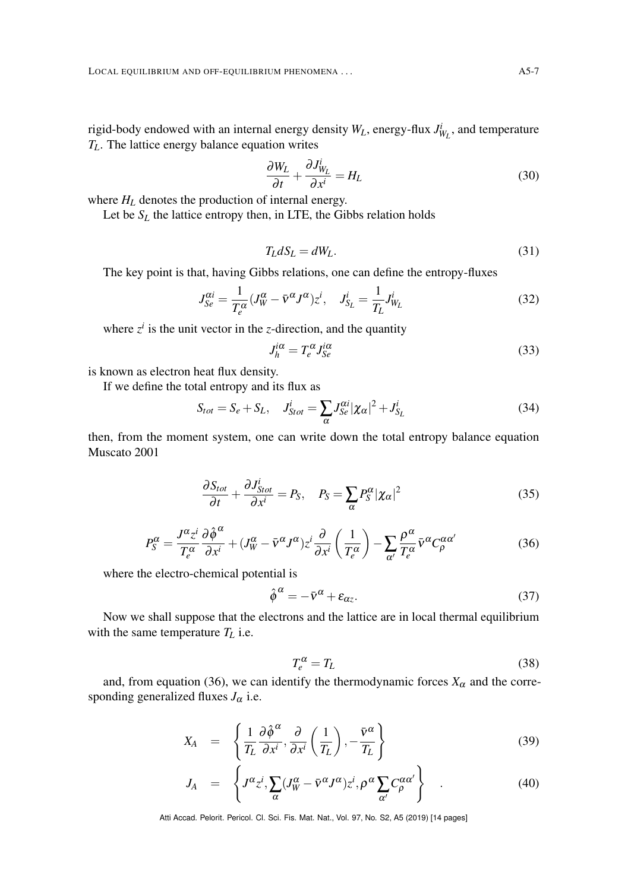rigid-body endowed with an internal energy density  $W_L$ , energy-flux  $J_{W_L}^i$ , and temperature *TL*. The lattice energy balance equation writes

$$
\frac{\partial W_L}{\partial t} + \frac{\partial J_{W_L}^i}{\partial x^i} = H_L \tag{30}
$$

where  $H_L$  denotes the production of internal energy.

Let be  $S_L$  the lattice entropy then, in LTE, the Gibbs relation holds

$$
T_L dS_L = dW_L. \tag{31}
$$

The key point is that, having Gibbs relations, one can define the entropy-fluxes

<span id="page-6-2"></span>
$$
J_{Se}^{\alpha i} = \frac{1}{T_e^{\alpha}} (J_W^{\alpha} - \bar{\mathbf{v}}^{\alpha} J^{\alpha}) z^i, \quad J_{S_L}^i = \frac{1}{T_L} J_{W_L}^i
$$
 (32)

where  $z^i$  is the unit vector in the *z*-direction, and the quantity

$$
J_h^{i\alpha} = T_e^{\alpha} J_{Se}^{i\alpha} \tag{33}
$$

is known as electron heat flux density.

If we define the total entropy and its flux as

$$
S_{tot} = S_e + S_L, \quad J_{Stot}^i = \sum_{\alpha} J_{Se}^{\alpha i} |\chi_{\alpha}|^2 + J_{S_L}^i
$$
\n(34)

then, from the moment system, one can write down the total entropy balance equation Muscato [2001](#page-12-15)

$$
\frac{\partial S_{tot}}{\partial t} + \frac{\partial J_{Stot}^i}{\partial x^i} = P_S, \quad P_S = \sum_{\alpha} P_S^{\alpha} |\chi_{\alpha}|^2 \tag{35}
$$

<span id="page-6-0"></span>
$$
P_{S}^{\alpha} = \frac{J^{\alpha} z^{i}}{T_{e}^{\alpha}} \frac{\partial \hat{\phi}^{\alpha}}{\partial x^{i}} + (J_{W}^{\alpha} - \bar{v}^{\alpha} J^{\alpha}) z^{i} \frac{\partial}{\partial x^{i}} \left(\frac{1}{T_{e}^{\alpha}}\right) - \sum_{\alpha'} \frac{\rho^{\alpha}}{T_{e}^{\alpha}} \bar{v}^{\alpha} C_{\rho}^{\alpha \alpha'} \tag{36}
$$

where the electro-chemical potential is

$$
\hat{\phi}^{\alpha} = -\bar{v}^{\alpha} + \varepsilon_{\alpha z}.\tag{37}
$$

Now we shall suppose that the electrons and the lattice are in local thermal equilibrium with the same temperature  $T_L$  i.e.

$$
T_e^{\alpha} = T_L \tag{38}
$$

and, from equation [\(36\)](#page-6-0), we can identify the thermodynamic forces  $X_\alpha$  and the corresponding generalized fluxes  $J_{\alpha}$  i.e.

<span id="page-6-1"></span>
$$
X_A = \left\{ \frac{1}{T_L} \frac{\partial \hat{\phi}^{\alpha}}{\partial x^i}, \frac{\partial}{\partial x^i} \left( \frac{1}{T_L} \right), -\frac{\bar{v}^{\alpha}}{T_L} \right\}
$$
(39)

$$
J_A = \left\{ J^{\alpha} z^i, \sum_{\alpha} (J^{\alpha}_{W} - \bar{v}^{\alpha} J^{\alpha}) z^i, \rho^{\alpha} \sum_{\alpha'} C^{\alpha \alpha'}_{\rho} \right\} \quad . \tag{40}
$$

Atti Accad. Pelorit. Pericol. Cl. Sci. Fis. Mat. Nat., Vol. 97, No. S2, A5 (2019) [\[14](#page-13-10) pages]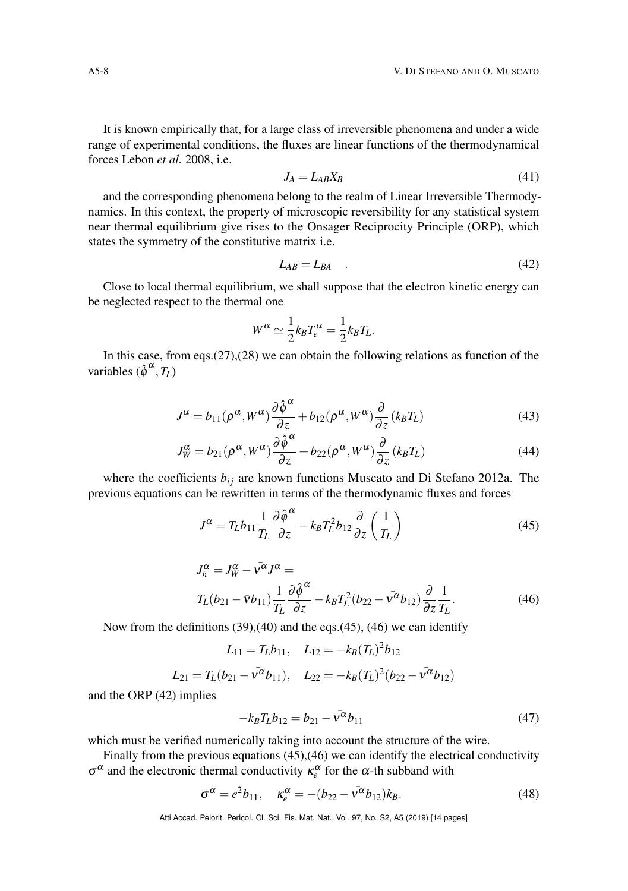It is known empirically that, for a large class of irreversible phenomena and under a wide range of experimental conditions, the fluxes are linear functions of the thermodynamical forces Lebon *et al.* [2008,](#page-11-17) i.e.

$$
J_A = L_{AB} X_B \tag{41}
$$

and the corresponding phenomena belong to the realm of Linear Irreversible Thermodynamics. In this context, the property of microscopic reversibility for any statistical system near thermal equilibrium give rises to the Onsager Reciprocity Principle (ORP), which states the symmetry of the constitutive matrix i.e.

<span id="page-7-2"></span>
$$
L_{AB} = L_{BA} \quad . \tag{42}
$$

Close to local thermal equilibrium, we shall suppose that the electron kinetic energy can be neglected respect to the thermal one

$$
W^{\alpha} \simeq \frac{1}{2} k_B T_e^{\alpha} = \frac{1}{2} k_B T_L.
$$

In this case, from eqs.[\(27\)](#page-5-2),[\(28\)](#page-5-2) we can obtain the following relations as function of the variables  $(\hat{\phi}^{\alpha}, T_L)$ 

$$
J^{\alpha} = b_{11}(\rho^{\alpha}, W^{\alpha}) \frac{\partial \hat{\phi}^{\alpha}}{\partial z} + b_{12}(\rho^{\alpha}, W^{\alpha}) \frac{\partial}{\partial z} (k_B T_L)
$$
 (43)

$$
J_W^{\alpha} = b_{21}(\rho^{\alpha}, W^{\alpha}) \frac{\partial \hat{\phi}^{\alpha}}{\partial z} + b_{22}(\rho^{\alpha}, W^{\alpha}) \frac{\partial}{\partial z} (k_B T_L)
$$
 (44)

where the coefficients  $b_{ij}$  are known functions Muscato and Di Stefano [2012a.](#page-12-7) The previous equations can be rewritten in terms of the thermodynamic fluxes and forces

<span id="page-7-0"></span>
$$
J^{\alpha} = T_L b_{11} \frac{1}{T_L} \frac{\partial \hat{\phi}^{\alpha}}{\partial z} - k_B T_L^2 b_{12} \frac{\partial}{\partial z} \left( \frac{1}{T_L} \right)
$$
(45)

<span id="page-7-1"></span>
$$
J_h^{\alpha} = J_W^{\alpha} - \bar{v}^{\alpha} J^{\alpha} =
$$
  
\n
$$
T_L(b_{21} - \bar{v}b_{11}) \frac{1}{T_L} \frac{\partial \hat{\phi}^{\alpha}}{\partial z} - k_B T_L^2(b_{22} - \bar{v}^{\alpha}b_{12}) \frac{\partial}{\partial z} \frac{1}{T_L}.
$$
\n(46)

Now from the definitions [\(39\)](#page-6-1),[\(40\)](#page-6-1) and the eqs.[\(45\)](#page-7-0), [\(46\)](#page-7-1) we can identify

$$
L_{11} = T_L b_{11}, \quad L_{12} = -k_B (T_L)^2 b_{12}
$$

$$
L_{21} = T_L (b_{21} - \bar{v}^{\alpha} b_{11}), \quad L_{22} = -k_B (T_L)^2 (b_{22} - \bar{v}^{\alpha} b_{12})
$$

and the ORP [\(42\)](#page-7-2) implies

<span id="page-7-3"></span>
$$
-k_B T_L b_{12} = b_{21} - \bar{v}^{\alpha} b_{11} \tag{47}
$$

which must be verified numerically taking into account the structure of the wire.

Finally from the previous equations [\(45\)](#page-7-0),[\(46\)](#page-7-1) we can identify the electrical conductivity  $\sigma^{\alpha}$  and the electronic thermal conductivity  $\kappa_e^{\alpha}$  for the  $\alpha$ -th subband with

$$
\sigma^{\alpha} = e^2 b_{11}, \quad \kappa_e^{\alpha} = -(b_{22} - \bar{v}^{\alpha} b_{12}) k_B.
$$
 (48)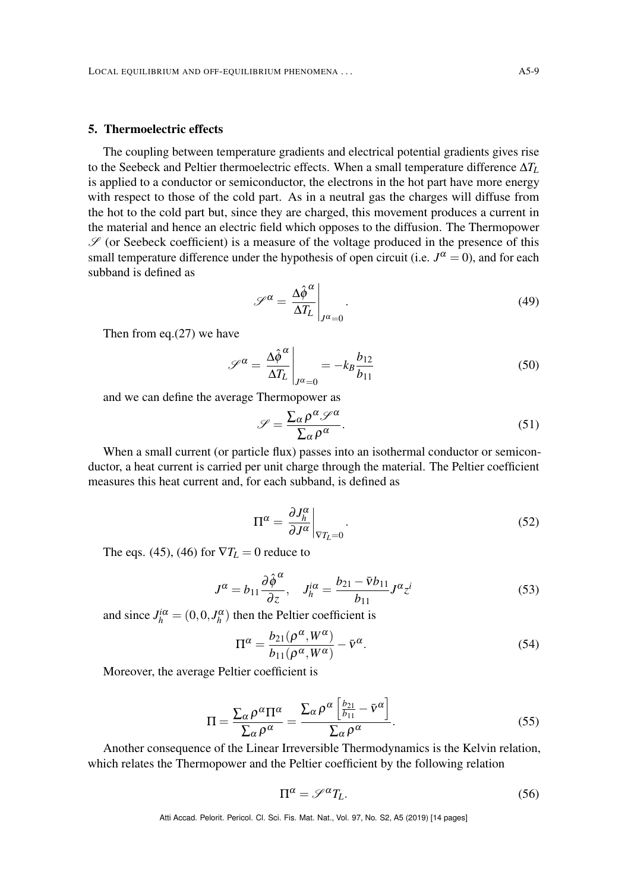#### <span id="page-8-0"></span>5. Thermoelectric effects

The coupling between temperature gradients and electrical potential gradients gives rise to the Seebeck and Peltier thermoelectric effects. When a small temperature difference ∆*T<sup>L</sup>* is applied to a conductor or semiconductor, the electrons in the hot part have more energy with respect to those of the cold part. As in a neutral gas the charges will diffuse from the hot to the cold part but, since they are charged, this movement produces a current in the material and hence an electric field which opposes to the diffusion. The Thermopower  $\mathscr S$  (or Seebeck coefficient) is a measure of the voltage produced in the presence of this small temperature difference under the hypothesis of open circuit (i.e.  $J^{\alpha} = 0$ ), and for each subband is defined as

$$
\mathscr{S}^{\alpha} = \frac{\Delta \hat{\phi}^{\alpha}}{\Delta T_L} \bigg|_{J^{\alpha} = 0}.
$$
\n(49)

Then from eq.[\(27\)](#page-5-2) we have

<span id="page-8-1"></span>
$$
\mathscr{S}^{\alpha} = \frac{\Delta \hat{\phi}^{\alpha}}{\Delta T_L} \bigg|_{J^{\alpha} = 0} = -k_B \frac{b_{12}}{b_{11}} \tag{50}
$$

and we can define the average Thermopower as

$$
\mathscr{S} = \frac{\sum_{\alpha} \rho^{\alpha} \mathscr{S}^{\alpha}}{\sum_{\alpha} \rho^{\alpha}}.
$$
\n(51)

When a small current (or particle flux) passes into an isothermal conductor or semiconductor, a heat current is carried per unit charge through the material. The Peltier coefficient measures this heat current and, for each subband, is defined as

$$
\Pi^{\alpha} = \left. \frac{\partial J_h^{\alpha}}{\partial J^{\alpha}} \right|_{\nabla T_L = 0}.
$$
\n(52)

The eqs. [\(45\)](#page-7-0), [\(46\)](#page-7-1) for  $\nabla T_L = 0$  reduce to

$$
J^{\alpha} = b_{11} \frac{\partial \hat{\phi}^{\alpha}}{\partial z}, \quad J^{\alpha}_{h} = \frac{b_{21} - \bar{v}b_{11}}{b_{11}} J^{\alpha} z^{i}
$$
(53)

and since  $J_h^{i\alpha} = (0, 0, J_h^{\alpha})$  then the Peltier coefficient is

<span id="page-8-2"></span>
$$
\Pi^{\alpha} = \frac{b_{21}(\rho^{\alpha}, W^{\alpha})}{b_{11}(\rho^{\alpha}, W^{\alpha})} - \bar{v}^{\alpha}.
$$
 (54)

Moreover, the average Peltier coefficient is

$$
\Pi = \frac{\sum_{\alpha} \rho^{\alpha} \Pi^{\alpha}}{\sum_{\alpha} \rho^{\alpha}} = \frac{\sum_{\alpha} \rho^{\alpha} \left[ \frac{b_{21}}{b_{11}} - \bar{v}^{\alpha} \right]}{\sum_{\alpha} \rho^{\alpha}}.
$$
\n(55)

Another consequence of the Linear Irreversible Thermodynamics is the Kelvin relation, which relates the Thermopower and the Peltier coefficient by the following relation

$$
\Pi^{\alpha} = \mathscr{S}^{\alpha} T_{L}.
$$
\n(56)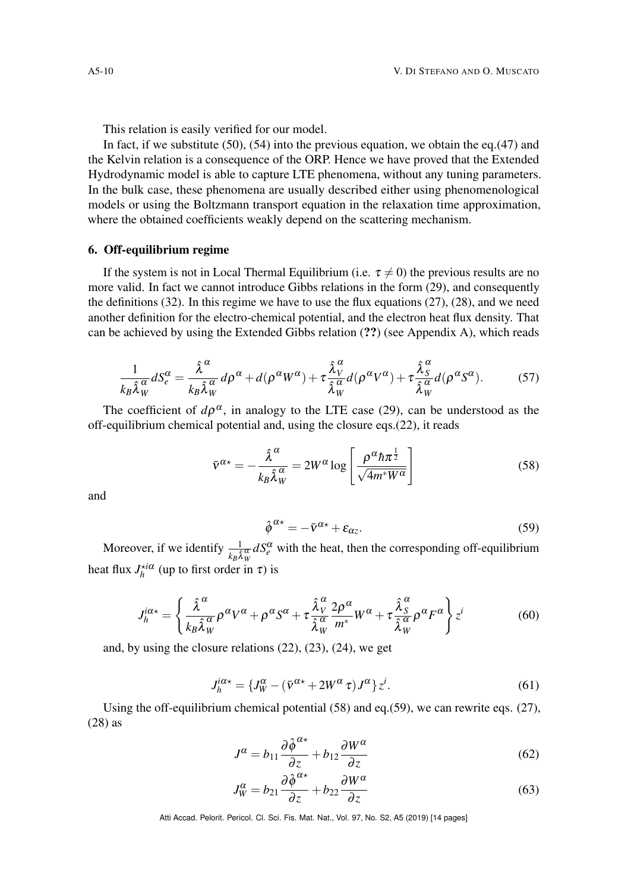This relation is easily verified for our model.

In fact, if we substitute [\(50\)](#page-8-1), [\(54\)](#page-8-2) into the previous equation, we obtain the eq.[\(47\)](#page-7-3) and the Kelvin relation is a consequence of the ORP. Hence we have proved that the Extended Hydrodynamic model is able to capture LTE phenomena, without any tuning parameters. In the bulk case, these phenomena are usually described either using phenomenological models or using the Boltzmann transport equation in the relaxation time approximation, where the obtained coefficients weakly depend on the scattering mechanism.

# <span id="page-9-0"></span>6. Off-equilibrium regime

If the system is not in Local Thermal Equilibrium (i.e.  $\tau \neq 0$ ) the previous results are no more valid. In fact we cannot introduce Gibbs relations in the form [\(29\)](#page-5-3), and consequently the definitions [\(32\)](#page-6-2). In this regime we have to use the flux equations [\(27\)](#page-5-2), [\(28\)](#page-5-2), and we need another definition for the electro-chemical potential, and the electron heat flux density. That can be achieved by using the Extended Gibbs relation (??) (see Appendix A), which reads

$$
\frac{1}{k_B \hat{\lambda}_W^{\alpha}} dS_e^{\alpha} = \frac{\hat{\lambda}^{\alpha}}{k_B \hat{\lambda}_W^{\alpha}} d\rho^{\alpha} + d(\rho^{\alpha} W^{\alpha}) + \tau \frac{\hat{\lambda}_V^{\alpha}}{\hat{\lambda}_W^{\alpha}} d(\rho^{\alpha} V^{\alpha}) + \tau \frac{\hat{\lambda}_S^{\alpha}}{\hat{\lambda}_W^{\alpha}} d(\rho^{\alpha} S^{\alpha}).
$$
 (57)

<span id="page-9-1"></span>The coefficient of  $d\rho^{\alpha}$ , in analogy to the LTE case [\(29\)](#page-5-3), can be understood as the off-equilibrium chemical potential and, using the closure eqs.[\(22\)](#page-5-4), it reads

$$
\bar{v}^{\alpha*} = -\frac{\hat{\lambda}^{\alpha}}{k_B \hat{\lambda}_W^{\alpha}} = 2W^{\alpha} \log \left[ \frac{\rho^{\alpha} \hbar \pi^{\frac{1}{2}}}{\sqrt{4m^* W^{\alpha}}} \right]
$$
(58)

<span id="page-9-2"></span>and

$$
\hat{\phi}^{\alpha*} = -\bar{v}^{\alpha*} + \varepsilon_{\alpha z}.\tag{59}
$$

Moreover, if we identify  $\frac{1}{k_B \hat{\lambda}_W^{\alpha}} dS_e^{\alpha}$  with the heat, then the corresponding off-equilibrium heat flux  $J_h^{\star i\alpha}$  (up to first order in  $\tau$ ) is

$$
J_h^{i\alpha*} = \left\{ \frac{\hat{\lambda}^{\alpha}}{k_B \hat{\lambda}_W^{\alpha}} \rho^{\alpha} V^{\alpha} + \rho^{\alpha} S^{\alpha} + \tau \frac{\hat{\lambda}_V^{\alpha}}{\hat{\lambda}_W^{\alpha}} \frac{2 \rho^{\alpha}}{m^*} W^{\alpha} + \tau \frac{\hat{\lambda}_S^{\alpha}}{\hat{\lambda}_W^{\alpha}} \rho^{\alpha} F^{\alpha} \right\} z^i \tag{60}
$$

and, by using the closure relations [\(22\)](#page-5-4), [\(23\)](#page-5-5), [\(24\)](#page-5-6), we get

<span id="page-9-4"></span>
$$
J_h^{i\alpha*} = \{J_W^{\alpha} - (\bar{v}^{\alpha*} + 2W^{\alpha}\tau)J^{\alpha}\}\dot{z}^i.
$$
 (61)

Using the off-equilibrium chemical potential  $(58)$  and eq.[\(59\)](#page-9-2), we can rewrite eqs. [\(27\)](#page-5-2), [\(28\)](#page-5-2) as

<span id="page-9-3"></span>
$$
J^{\alpha} = b_{11} \frac{\partial \hat{\phi}^{\alpha*}}{\partial z} + b_{12} \frac{\partial W^{\alpha}}{\partial z}
$$
 (62)

$$
J_W^{\alpha} = b_{21} \frac{\partial \hat{\phi}^{\alpha*}}{\partial z} + b_{22} \frac{\partial W^{\alpha}}{\partial z}
$$
 (63)

Atti Accad. Pelorit. Pericol. Cl. Sci. Fis. Mat. Nat., Vol. 97, No. S2, A5 (2019) [\[14](#page-13-10) pages]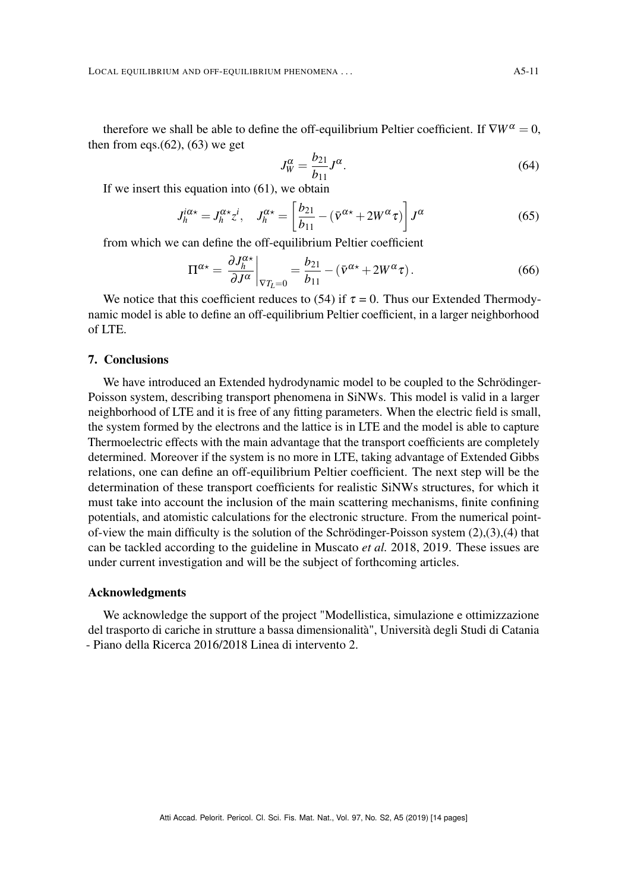LOCAL EQUILIBRIUM AND OFF-EQUILIBRIUM PHENOMENA . . .  $A5-11$ 

therefore we shall be able to define the off-equilibrium Peltier coefficient. If  $\nabla W^{\alpha} = 0$ , then from eqs. $(62)$ ,  $(63)$  we get

$$
J_W^{\alpha} = \frac{b_{21}}{b_{11}} J^{\alpha}.
$$
\n(64)

If we insert this equation into [\(61\)](#page-9-4), we obtain

$$
J_h^{i\alpha*} = J_h^{\alpha*} z^i, \quad J_h^{\alpha*} = \left[\frac{b_{21}}{b_{11}} - (\bar{v}^{\alpha*} + 2W^{\alpha}\tau)\right] J^{\alpha}
$$
(65)

from which we can define the off-equilibrium Peltier coefficient

$$
\Pi^{\alpha*} = \left. \frac{\partial J_h^{\alpha*}}{\partial J^{\alpha}} \right|_{\nabla T_L = 0} = \frac{b_{21}}{b_{11}} - (\bar{v}^{\alpha*} + 2W^{\alpha}\tau). \tag{66}
$$

We notice that this coefficient reduces to [\(54\)](#page-8-2) if  $\tau = 0$ . Thus our Extended Thermodynamic model is able to define an off-equilibrium Peltier coefficient, in a larger neighborhood of LTE.

# <span id="page-10-0"></span>7. Conclusions

We have introduced an Extended hydrodynamic model to be coupled to the Schrödinger-Poisson system, describing transport phenomena in SiNWs. This model is valid in a larger neighborhood of LTE and it is free of any fitting parameters. When the electric field is small, the system formed by the electrons and the lattice is in LTE and the model is able to capture Thermoelectric effects with the main advantage that the transport coefficients are completely determined. Moreover if the system is no more in LTE, taking advantage of Extended Gibbs relations, one can define an off-equilibrium Peltier coefficient. The next step will be the determination of these transport coefficients for realistic SiNWs structures, for which it must take into account the inclusion of the main scattering mechanisms, finite confining potentials, and atomistic calculations for the electronic structure. From the numerical pointof-view the main difficulty is the solution of the Schrödinger-Poisson system  $(2)$ , $(3)$ , $(4)$  that can be tackled according to the guideline in Muscato *et al.* [2018,](#page-12-16) [2019.](#page-12-6) These issues are under current investigation and will be the subject of forthcoming articles.

#### Acknowledgments

We acknowledge the support of the project "Modellistica, simulazione e ottimizzazione del trasporto di cariche in strutture a bassa dimensionalità", Università degli Studi di Catania - Piano della Ricerca 2016/2018 Linea di intervento 2.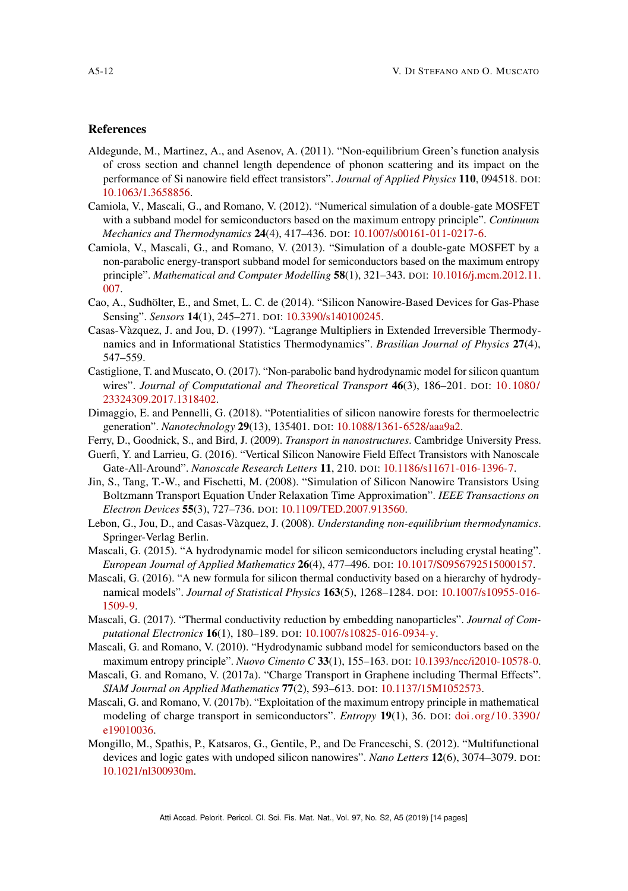#### <span id="page-11-0"></span>References

- <span id="page-11-4"></span>Aldegunde, M., Martinez, A., and Asenov, A. (2011). "Non-equilibrium Green's function analysis of cross section and channel length dependence of phonon scattering and its impact on the performance of Si nanowire field effect transistors". *Journal of Applied Physics* 110, 094518. DOI: [10.1063/1.3658856.](https://doi.org/10.1063/1.3658856)
- <span id="page-11-12"></span>Camiola, V., Mascali, G., and Romano, V. (2012). "Numerical simulation of a double-gate MOSFET with a subband model for semiconductors based on the maximum entropy principle". *Continuum Mechanics and Thermodynamics* 24(4), 417–436. DOI: [10.1007/s00161-011-0217-6.](https://doi.org/10.1007/s00161-011-0217-6)
- <span id="page-11-13"></span>Camiola, V., Mascali, G., and Romano, V. (2013). "Simulation of a double-gate MOSFET by a non-parabolic energy-transport subband model for semiconductors based on the maximum entropy principle". *Mathematical and Computer Modelling* 58(1), 321–343. DOI: [10.1016/j.mcm.2012.11.](https://doi.org/10.1016/j.mcm.2012.11.007) [007.](https://doi.org/10.1016/j.mcm.2012.11.007)
- <span id="page-11-3"></span>Cao, A., Sudhölter, E., and Smet, L. C. de (2014). "Silicon Nanowire-Based Devices for Gas-Phase Sensing". *Sensors* 14(1), 245–271. DOI: [10.3390/s140100245.](https://doi.org/10.3390/s140100245)
- Casas-Vàzquez, J. and Jou, D. (1997). "Lagrange Multipliers in Extended Irreversible Thermodynamics and in Informational Statistics Thermodynamics". *Brasilian Journal of Physics* 27(4), 547–559.
- <span id="page-11-16"></span>Castiglione, T. and Muscato, O. (2017). "Non-parabolic band hydrodynamic model for silicon quantum wires". *Journal of Computational and Theoretical Transport* 46(3), 186–201. DOI: [10.1080/](https://doi.org/10.1080/23324309.2017.1318402) [23324309.2017.1318402.](https://doi.org/10.1080/23324309.2017.1318402)
- <span id="page-11-6"></span>Dimaggio, E. and Pennelli, G. (2018). "Potentialities of silicon nanowire forests for thermoelectric generation". *Nanotechnology* 29(13), 135401. DOI: [10.1088/1361-6528/aaa9a2.](https://doi.org/10.1088/1361-6528/aaa9a2)
- <span id="page-11-7"></span>Ferry, D., Goodnick, S., and Bird, J. (2009). *Transport in nanostructures*. Cambridge University Press.
- <span id="page-11-1"></span>Guerfi, Y. and Larrieu, G. (2016). "Vertical Silicon Nanowire Field Effect Transistors with Nanoscale Gate-All-Around". *Nanoscale Research Letters* 11, 210. DOI: [10.1186/s11671-016-1396-7.](https://doi.org/10.1186/s11671-016-1396-7)
- <span id="page-11-5"></span>Jin, S., Tang, T.-W., and Fischetti, M. (2008). "Simulation of Silicon Nanowire Transistors Using Boltzmann Transport Equation Under Relaxation Time Approximation". *IEEE Transactions on Electron Devices* 55(3), 727–736. DOI: [10.1109/TED.2007.913560.](https://doi.org/10.1109/TED.2007.913560)
- <span id="page-11-17"></span>Lebon, G., Jou, D., and Casas-Vàzquez, J. (2008). *Understanding non-equilibrium thermodynamics*. Springer-Verlag Berlin.
- <span id="page-11-9"></span>Mascali, G. (2015). "A hydrodynamic model for silicon semiconductors including crystal heating". *European Journal of Applied Mathematics* 26(4), 477–496. DOI: [10.1017/S0956792515000157.](https://doi.org/10.1017/S0956792515000157)
- <span id="page-11-10"></span>Mascali, G. (2016). "A new formula for silicon thermal conductivity based on a hierarchy of hydrodynamical models". *Journal of Statistical Physics* 163(5), 1268–1284. DOI: [10.1007/s10955-016-](https://doi.org/10.1007/s10955-016-1509-9) [1509-9.](https://doi.org/10.1007/s10955-016-1509-9)
- <span id="page-11-14"></span>Mascali, G. (2017). "Thermal conductivity reduction by embedding nanoparticles". *Journal of Computational Electronics* 16(1), 180–189. DOI: [10.1007/s10825-016-0934-y.](https://doi.org/10.1007/s10825-016-0934-y)
- <span id="page-11-15"></span>Mascali, G. and Romano, V. (2010). "Hydrodynamic subband model for semiconductors based on the maximum entropy principle". *Nuovo Cimento C* 33(1), 155–163. DOI: [10.1393/ncc/i2010-10578-0.](https://doi.org/10.1393/ncc/i2010-10578-0)
- <span id="page-11-11"></span>Mascali, G. and Romano, V. (2017a). "Charge Transport in Graphene including Thermal Effects". *SIAM Journal on Applied Mathematics* 77(2), 593–613. DOI: [10.1137/15M1052573.](https://doi.org/10.1137/15M1052573)
- <span id="page-11-8"></span>Mascali, G. and Romano, V. (2017b). "Exploitation of the maximum entropy principle in mathematical modeling of charge transport in semiconductors". *Entropy* 19(1), 36. DOI: [doi.org/10.3390/](https://doi.org/doi.org/10.3390/e19010036) [e19010036.](https://doi.org/doi.org/10.3390/e19010036)
- <span id="page-11-2"></span>Mongillo, M., Spathis, P., Katsaros, G., Gentile, P., and De Franceschi, S. (2012). "Multifunctional devices and logic gates with undoped silicon nanowires". *Nano Letters* 12(6), 3074–3079. DOI: [10.1021/nl300930m.](https://doi.org/10.1021/nl300930m)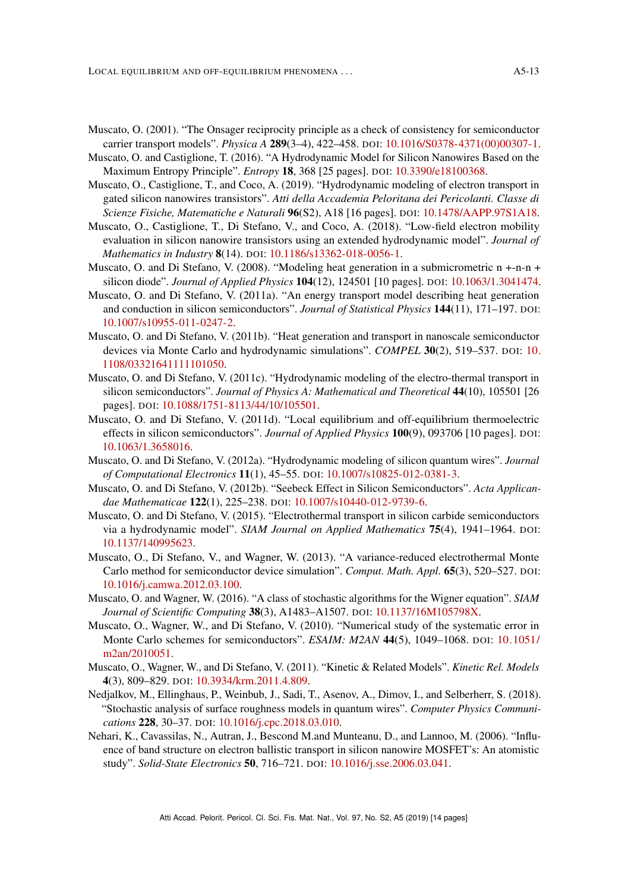- 
- <span id="page-12-15"></span>Muscato, O. (2001). "The Onsager reciprocity principle as a check of consistency for semiconductor carrier transport models". *Physica A* 289(3–4), 422–458. DOI: [10.1016/S0378-4371\(00\)00307-1.](https://doi.org/10.1016/S0378-4371(00)00307-1)
- Muscato, O. and Castiglione, T. (2016). "A Hydrodynamic Model for Silicon Nanowires Based on the Maximum Entropy Principle". *Entropy* 18, 368 [25 pages]. DOI: [10.3390/e18100368.](https://doi.org/10.3390/e18100368)
- <span id="page-12-6"></span>Muscato, O., Castiglione, T., and Coco, A. (2019). "Hydrodynamic modeling of electron transport in gated silicon nanowires transistors". *Atti della Accademia Peloritana dei Pericolanti. Classe di Scienze Fisiche, Matematiche e Naturali* 96(S2), A18 [16 pages]. DOI: [10.1478/AAPP.97S1A18.](https://doi.org/10.1478/AAPP.97S1A18)
- <span id="page-12-16"></span>Muscato, O., Castiglione, T., Di Stefano, V., and Coco, A. (2018). "Low-field electron mobility evaluation in silicon nanowire transistors using an extended hydrodynamic model". *Journal of Mathematics in Industry* 8(14). DOI: [10.1186/s13362-018-0056-1.](https://doi.org/10.1186/s13362-018-0056-1)
- <span id="page-12-8"></span>Muscato, O. and Di Stefano, V. (2008). "Modeling heat generation in a submicrometric  $n + n - n +$ silicon diode". *Journal of Applied Physics* 104(12), 124501 [10 pages]. DOI: [10.1063/1.3041474.](https://doi.org/10.1063/1.3041474)
- <span id="page-12-9"></span>Muscato, O. and Di Stefano, V. (2011a). "An energy transport model describing heat generation and conduction in silicon semiconductors". *Journal of Statistical Physics* 144(11), 171–197. DOI: [10.1007/s10955-011-0247-2.](https://doi.org/10.1007/s10955-011-0247-2)
- <span id="page-12-10"></span>Muscato, O. and Di Stefano, V. (2011b). "Heat generation and transport in nanoscale semiconductor devices via Monte Carlo and hydrodynamic simulations". *COMPEL* 30(2), 519–537. DOI: [10.](https://doi.org/10.1108/03321641111101050) [1108/03321641111101050.](https://doi.org/10.1108/03321641111101050)
- <span id="page-12-11"></span>Muscato, O. and Di Stefano, V. (2011c). "Hydrodynamic modeling of the electro-thermal transport in silicon semiconductors". *Journal of Physics A: Mathematical and Theoretical* 44(10), 105501 [26 pages]. DOI: [10.1088/1751-8113/44/10/105501.](https://doi.org/10.1088/1751-8113/44/10/105501)
- <span id="page-12-12"></span>Muscato, O. and Di Stefano, V. (2011d). "Local equilibrium and off-equilibrium thermoelectric effects in silicon semiconductors". *Journal of Applied Physics* 100(9), 093706 [10 pages]. DOI: [10.1063/1.3658016.](https://doi.org/10.1063/1.3658016)
- <span id="page-12-7"></span>Muscato, O. and Di Stefano, V. (2012a). "Hydrodynamic modeling of silicon quantum wires". *Journal of Computational Electronics* 11(1), 45–55. DOI: [10.1007/s10825-012-0381-3.](https://doi.org/10.1007/s10825-012-0381-3)
- <span id="page-12-13"></span>Muscato, O. and Di Stefano, V. (2012b). "Seebeck Effect in Silicon Semiconductors". *Acta Applicandae Mathematicae* 122(1), 225–238. DOI: [10.1007/s10440-012-9739-6.](https://doi.org/10.1007/s10440-012-9739-6)
- <span id="page-12-14"></span>Muscato, O. and Di Stefano, V. (2015). "Electrothermal transport in silicon carbide semiconductors via a hydrodynamic model". *SIAM Journal on Applied Mathematics* 75(4), 1941–1964. DOI: [10.1137/140995623.](https://doi.org/10.1137/140995623)
- <span id="page-12-5"></span>Muscato, O., Di Stefano, V., and Wagner, W. (2013). "A variance-reduced electrothermal Monte Carlo method for semiconductor device simulation". *Comput. Math. Appl.* 65(3), 520–527. DOI: [10.1016/j.camwa.2012.03.100.](https://doi.org/10.1016/j.camwa.2012.03.100)
- <span id="page-12-1"></span>Muscato, O. and Wagner, W. (2016). "A class of stochastic algorithms for the Wigner equation". *SIAM Journal of Scientific Computing* 38(3), A1483–A1507. DOI: [10.1137/16M105798X.](https://doi.org/10.1137/16M105798X)
- <span id="page-12-3"></span>Muscato, O., Wagner, W., and Di Stefano, V. (2010). "Numerical study of the systematic error in Monte Carlo schemes for semiconductors". *ESAIM: M2AN* 44(5), 1049–1068. DOI: [10.1051/](https://doi.org/10.1051/m2an/2010051) [m2an/2010051.](https://doi.org/10.1051/m2an/2010051)
- <span id="page-12-4"></span>Muscato, O., Wagner, W., and Di Stefano, V. (2011). "Kinetic & Related Models". *Kinetic Rel. Models* 4(3), 809–829. DOI: [10.3934/krm.2011.4.809.](https://doi.org/10.3934/krm.2011.4.809)
- <span id="page-12-2"></span>Nedjalkov, M., Ellinghaus, P., Weinbub, J., Sadi, T., Asenov, A., Dimov, I., and Selberherr, S. (2018). "Stochastic analysis of surface roughness models in quantum wires". *Computer Physics Communications* 228, 30–37. DOI: [10.1016/j.cpc.2018.03.010.](https://doi.org/10.1016/j.cpc.2018.03.010)
- <span id="page-12-0"></span>Nehari, K., Cavassilas, N., Autran, J., Bescond M.and Munteanu, D., and Lannoo, M. (2006). "Influence of band structure on electron ballistic transport in silicon nanowire MOSFET's: An atomistic study". *Solid-State Electronics* 50, 716–721. DOI: [10.1016/j.sse.2006.03.041.](https://doi.org/10.1016/j.sse.2006.03.041)